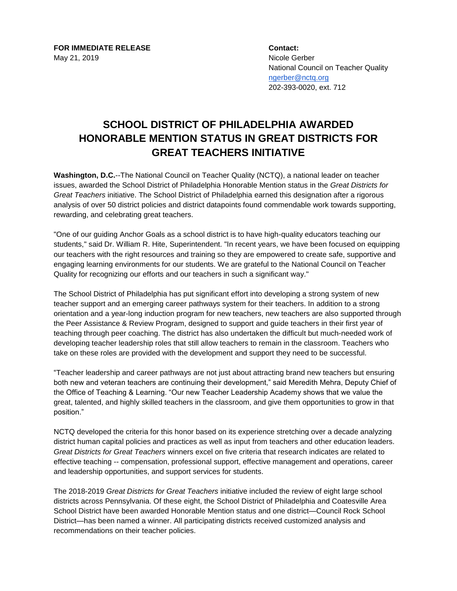**FOR IMMEDIATE RELEASE Contact:** May 21, 2019 Nicole Gerber

National Council on Teacher Quality [ngerber@nctq.org](mailto:ngerber@nctq.org) 202-393-0020, ext. 712

## **SCHOOL DISTRICT OF PHILADELPHIA AWARDED HONORABLE MENTION STATUS IN GREAT DISTRICTS FOR GREAT TEACHERS INITIATIVE**

**Washington, D.C.**--The National Council on Teacher Quality (NCTQ), a national leader on teacher issues, awarded the School District of Philadelphia Honorable Mention status in the *Great Districts for Great Teachers* initiative. The School District of Philadelphia earned this designation after a rigorous analysis of over 50 district policies and district datapoints found commendable work towards supporting, rewarding, and celebrating great teachers.

"One of our guiding Anchor Goals as a school district is to have high-quality educators teaching our students," said Dr. William R. Hite, Superintendent. "In recent years, we have been focused on equipping our teachers with the right resources and training so they are empowered to create safe, supportive and engaging learning environments for our students. We are grateful to the National Council on Teacher Quality for recognizing our efforts and our teachers in such a significant way."

The School District of Philadelphia has put significant effort into developing a strong system of new teacher support and an emerging career pathways system for their teachers. In addition to a strong orientation and a year-long induction program for new teachers, new teachers are also supported through the Peer Assistance & Review Program, designed to support and guide teachers in their first year of teaching through peer coaching. The district has also undertaken the difficult but much-needed work of developing teacher leadership roles that still allow teachers to remain in the classroom. Teachers who take on these roles are provided with the development and support they need to be successful.

"Teacher leadership and career pathways are not just about attracting brand new teachers but ensuring both new and veteran teachers are continuing their development," said Meredith Mehra, Deputy Chief of the Office of Teaching & Learning. "Our new Teacher Leadership Academy shows that we value the great, talented, and highly skilled teachers in the classroom, and give them opportunities to grow in that position."

NCTQ developed the criteria for this honor based on its experience stretching over a decade analyzing district human capital policies and practices as well as input from teachers and other education leaders. *Great Districts for Great Teachers* winners excel on five criteria that research indicates are related to effective teaching -- compensation, professional support, effective management and operations, career and leadership opportunities, and support services for students.

The 2018-2019 *Great Districts for Great Teachers* initiative included the review of eight large school districts across Pennsylvania. Of these eight, the School District of Philadelphia and Coatesville Area School District have been awarded Honorable Mention status and one district—Council Rock School District—has been named a winner. All participating districts received customized analysis and recommendations on their teacher policies.